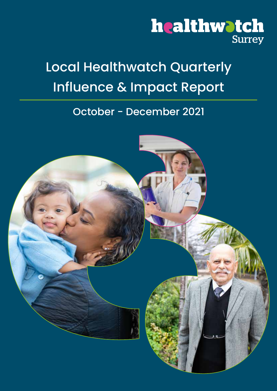# healthwatch Surrey

# Local Healthwatch Quarterly Influence & Impact Report

### October - December 2021

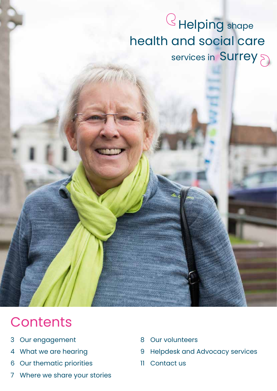# Helping shape health and social care services in Surrey

# **Contents**

- Our engagement 3
- What we are hearing 4
- Our thematic priorities 6
- Where we share your stories 7
- Our volunteers 8
- Helpdesk and Advocacy services 9
- Contact us 11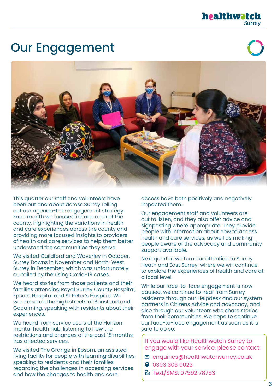# Our Engagement





This quarter our staff and volunteers have been out and about across Surrey rolling out our agenda-free engagement strategy. Each month we focused on one area of the county, highlighting the variations in health and care experiences across the county and providing more focused insights to providers of health and care services to help them better understand the communities they serve.

We visited Guildford and Waverley in October, Surrey Downs in November and North-West Surrey in December, which was unfortunately curtailed by the rising Covid-19 cases.

We heard stories from those patients and their families attending Royal Surrey County Hospital, Epsom Hospital and St Peter's Hospital. We were also on the high streets of Banstead and Godalming, speaking with residents about their experiences.

We heard from service users of the Horizon mental health hub, listening to how the restrictions and changes of the past 18 months has affected services.

We visited The Grange in Epsom, an assisted living facility for people with learning disabilities, speaking to residents and their families regarding the challenges in accessing services and how the changes to health and care

access have both positively and negatively impacted them.

Our engagement staff and volunteers are out to listen, and they also offer advice and signposting where appropriate. They provide people with information about how to access health and care services, as well as making people aware of the advocacy and community support available.

Next quarter, we turn our attention to Surrey Heath and East Surrey, where we will continue to explore the experiences of health and care at a local level.

While our face-to-face engagement is now paused, we continue to hear from Surrey residents through our Helpdesk and our system partners in Citizens Advice and advocacy, and also through our volunteers who share stories from their communities. We hope to continue our face-to-face engagement as soon as it is safe to do so.

If you would like Healthwatch Surrey to engage with your service, please contact:

- $\Xi$  enquiries@healthwatchsurrey.co.uk
- 03 303 0023
- **E** Text/SMS: 07592 78753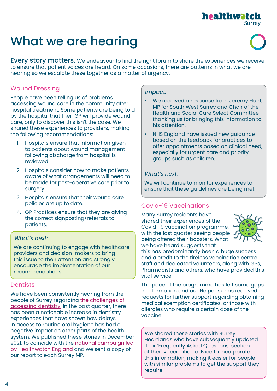### **healthwatc Surrey**

# What we are hearing

**Every story matters.** We endeavour to find the right forum to share the experiences we receive to ensure that patient voices are heard. On some occasions, there are patterns in what we are hearing so we escalate these together as a matter of urgency.

#### Wound Dressing

People have been telling us of problems accessing wound care in the community after hospital treatment. Some patients are being told by the hospital that their GP will provide wound care, only to discover this isn't the case. We shared these experiences to providers, making the following recommendations:

- 1. Hospitals ensure that information given to patients about wound management following discharge from hospital is reviewed.
- 2. Hospitals consider how to make patients aware of what arrangements will need to be made for post-operative care prior to surgery.
- 3. Hospitals ensure that their wound care policies are up to date.
- 4. GP Practices ensure that they are giving the correct signposting/referrals to patients.

#### What's next:

We are continuing to engage with healthcare providers and decision-makers to bring this issue to their attention and strongly encourage the implementation of our recommendations.

#### **Dentists**

We have been consistently hearing from the people of Surrey regarding [the challenges of](https://www.healthwatchsurrey.co.uk/wp-content/uploads/2021/12/Healthwatch-Surrey-Dentistry-Report-December-21.pdf)  [accessing dentistry.](https://www.healthwatchsurrey.co.uk/wp-content/uploads/2021/12/Healthwatch-Surrey-Dentistry-Report-December-21.pdf) In the past quarter, there has been a noticeable increase in dentistry experiences that have shown how delays in access to routine oral hygiene has had a negative impact on other parts of the health system. We published these stories in December 2021, to coincide with the [national campaign led](https://www.healthwatch.co.uk/sites/healthwatch.co.uk/files/reports-library/20211014_HWE%20Dentistry%20Update%20Dec%202021.pdf)  [by Healthwatch England](https://www.healthwatch.co.uk/sites/healthwatch.co.uk/files/reports-library/20211014_HWE%20Dentistry%20Update%20Dec%202021.pdf) and we sent a copy of our report to each Surrey MP.

#### Impact:

- We received a response from Jeremy Hunt, MP for South West Surrey and Chair of the Health and Social Care Select Committee thanking us for bringing this information to his attention.
- NHS England have issued new guidance based on the feedback for practices to offer appointments based on clinical need, especially for urgent care and priority groups such as children.

#### What's next:

We will continue to monitor experiences to ensure that these guidelines are being met.

#### Covid-19 Vaccinations

Many Surrey residents have shared their experiences of the Covid-19 vaccination programme, with the last quarter seeing people being offered their boosters. What we have heard suggests that



this has predominantly been a huge success and a credit to the tireless vaccination centre staff and dedicated volunteers, along with GPs, Pharmacists and others, who have provided this vital service.

The pace of the programme has left some gaps in information and our Helpdesk has received requests for further support regarding obtaining medical exemption certificates, or those with allergies who require a certain dose of the vaccine.

We shared these stories with Surrey Heartlands who have subsequently updated their 'Frequently Asked Questions' section of their vaccination advice to incorporate this information, making it easier for people with similar problems to get the support they require.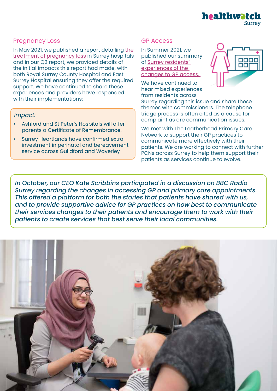

#### Pregnancy Loss

In May 2021, we published a report detailing [the]( https://www.healthwatchsurrey.co.uk/wp-content/uploads/2021/05/Treatment-of-pregnancy-loss-in-Surrey-hospitals-May-2021.pdf )  [treatment of pregnancy loss]( https://www.healthwatchsurrey.co.uk/wp-content/uploads/2021/05/Treatment-of-pregnancy-loss-in-Surrey-hospitals-May-2021.pdf ) in Surrey hospitals and in our Q2 report, we provided details of the initial impacts this report had made, with both Royal Surrey County Hospital and East Surrey Hospital ensuring they offer the required support. We have continued to share these experiences and providers have responded with their implementations:

#### Impact:

- Ashford and St Peter's Hospitals will offer parents a Certificate of Remembrance.
- Surrey Heartlands have confirmed extra investment in perinatal and bereavement service across Guildford and Waverley

#### GP Access

In Summer 2021, we published our summary of [Surrey residents'](https://www.healthwatchsurrey.co.uk/wp-content/uploads/2021/10/Review-of-remote-consultation-experiences.pdf)  [experiences of the](https://www.healthwatchsurrey.co.uk/wp-content/uploads/2021/10/Review-of-remote-consultation-experiences.pdf)  [changes to GP access.](https://www.healthwatchsurrey.co.uk/wp-content/uploads/2021/10/Review-of-remote-consultation-experiences.pdf) 

We have continued to hear mixed experiences from residents across



Surrey regarding this issue and share these themes with commissioners. The telephone triage process is often cited as a cause for complaint as are communication issues.

We met with The Leatherhead Primary Care Network to support their GP practices to communicate more effectively with their patients. We are working to connect with further PCNs across Surrey to help them support their patients as services continue to evolve.

In October, our CEO Kate Scribbins participated in a discussion on BBC Radio Surrey regarding the changes in accessing GP and primary care appointments. This offered a platform for both the stories that patients have shared with us, and to provide supportive advice for GP practices on how best to communicate their services changes to their patients and encourage them to work with their patients to create services that best serve their local communities.

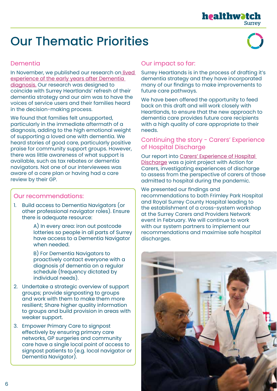# Our Thematic Priorities



#### **Dementia**

In November, we published our research on *lived* [experience of the early years after Dementia](https://www.healthwatchsurrey.co.uk/wp-content/uploads/2021/11/Healthwatch-Surrey-dementia-report-Nov-2021.pdf. )  [diagnosis.](https://www.healthwatchsurrey.co.uk/wp-content/uploads/2021/11/Healthwatch-Surrey-dementia-report-Nov-2021.pdf. ) Our research was designed to coincide with Surrey Heartlands' refresh of their dementia strategy and our aim was to have the voices of service users and their families heard in the decision-making process.

We found that families felt unsupported, particularly in the immediate aftermath of a diagnosis, adding to the high emotional weight of supporting a loved one with dementia. We heard stories of good care, particularly positive praise for community support groups. However, there was little awareness of what support is available, such as tax rebates or dementia navigators. Not one of our interviewees was aware of a care plan or having had a care review by their GP.

#### Our recommendations:

1. Build access to Dementia Navigators (or other professional navigator roles). Ensure there is adequate resource:

> A) In every area: iron out postcode lotteries so people in all parts of Surrey have access to a Dementia Navigator when needed.

B) For Dementia Navigators to proactively contact everyone with a diagnosis of dementia on a regular schedule (frequency dictated by individual needs).

- 2. Undertake a strategic overview of support groups; provide signposting to groups and work with them to make them more resilient; Share higher quality information to groups and build provision in areas with weaker support.
- 3. Empower Primary Care to signpost effectively by ensuring primary care networks, GP surgeries and community care have a single local point of access to signpost patients to (e.g. local navigator or Dementia Navigator).

#### Our impact so far:

Surrey Heartlands is in the process of drafting it's dementia strategy and they have incorporated many of our findings to make improvements to future care pathways.

We have been offered the opportunity to feed back on this draft and will work closely with Heartlands, to ensure that the new approach to dementia care provides future care recipients with a high quality of care appropriate to their needs.

#### Continuing the story - Carers' Experience of Hospital Discharge

Our report into [Carers' Experience of Hospital](https://www.healthwatchsurrey.co.uk/wp-content/uploads/2021/10/Carers-Discharge-2021-NV-F.pdf)  [Discharge](https://www.healthwatchsurrey.co.uk/wp-content/uploads/2021/10/Carers-Discharge-2021-NV-F.pdf) was a joint project with Action for Carers, investigating experiences of discharge to assess from the perspective of carers of those admitted to hospital during the pandemic.

We presented our findings and recommendations to both Frimley Park Hospital and Royal Surrey County Hospital leading to the establishment of a cross-system workshop at the Surrey Carers and Providers Network event in February. We will continue to work with our system partners to implement our recommendations and maximise safe hospital discharges.

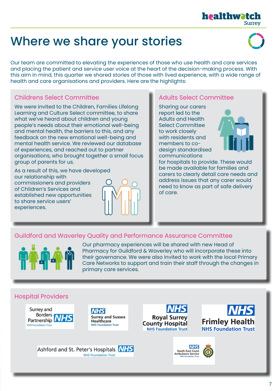# Where we share your stories

Our team are committed to elevating the experiences of those who use health and care services and placing the patient and service user voice at the heart of the decision-making process. With this aim in mind, this quarter we shared stories of those with lived experience, with a wide range of health and care organisations and providers. Here are the highlights:

#### Childrens Select Committee

We were invited to the Children, Families Lifelong Learning and Culture Select committee, to share what we've heard about children and young people's needs about their emotional well-being and mental health, the barriers to this, and any feedback on the new emotional well-being and mental health service. We reviewed our database of experiences, and reached out to partner organisations, who brought together a small focus group of parents for us.

As a result of this, we have developed our relationship with commissioners and providers of Children's Services and established new opportunities to share service users' experiences.



#### Adults Select Committee

Sharing our carers report led to the Adults and Health Select Committee to work closely with residents and members to codesign standardised communications



for hospitals to provide. These would be made available for families and carers to clearly detail care needs and address issues that any carer would need to know as part of safe delivery of care.

#### Guildford and Waverley Quality and Performance Assurance Committee



Our pharmacy experiences will be shared with new Head of Pharmacy for Guildford & Waverley who will incorporate these into their governance. We were also invited to work with the local Primary Care Networks to support and train their staff through the changes in primary care services.

#### Hospital Providers





Ashford and St. Peter's Hospitals NHS

**NHS Foundation Trust** 









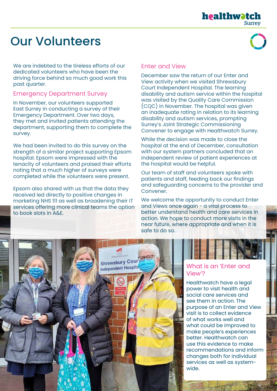#### healthwotch **Surrey**

# Our Volunteers

We are indebted to the tireless efforts of our dedicated volunteers who have been the driving force behind so much good work this past quarter.

#### Emergency Department Survey

In November, our volunteers supported East Surrey in conducting a survey of their Emergency Department. Over two days, they met and invited patients attending the department, supporting them to complete the survey.

We had been invited to do this survey on the strength of a similar project supporting Epsom hospital. Epsom were impressed with the tenacity of volunteers and praised their efforts noting that a much higher of surveys were completed while the volunteers were present.

Epsom also shared with us that the data they received led directly to positive changes in marketing NHS 111 as well as broadening their IT services offering more clinical teams the option to book slots in A&E.

#### Enter and View

December saw the return of our Enter and View activity when we visited Shrewsbury Court Independent Hospital. The learning disability and autism service within the hospital was visited by the Quality Care Commission (CQC) in November. The hospital was given an inadequate rating in relation to its learning disability and autism services, prompting Surrey's Joint Strategic Commissioning Convener to engage with Healthwatch Surrey.

While the decision was made to close the hospital at the end of December, consultation with our system partners concluded that an independent review of patient experiences at the hospital would be helpful.

Our team of staff and volunteers spoke with patients and staff, feeding back our findings and safeguarding concerns to the provider and Convener.

We welcome the opportunity to conduct Enter and Views once again - a vital process to better understand health and care services in action. We hope to conduct more visits in the near future, where appropriate and when it is safe to do so.



#### What is an 'Enter and View'?

Healthwatch have a legal power to visit health and social care services and see them in action. The purpose of an Enter and View visit is to collect evidence of what works well and what could be improved to make people's experiences better. Healthwatch can use this evidence to make recommendations and inform changes both for individual services as well as systemwide.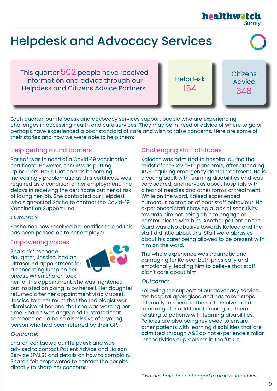# Helpdesk and Advocacy Services

This quarter 502 people have received information and advice through our Helpdesk and Citizens Advice Partners.

Helpdesk 154

**Citizens Advice** 348

**Surrey** 

healthwatcl

Each quarter, our Helpdesk and advocacy services support people who are experiencing challenges in accessing health and care services. They may be in need of advice of where to go or perhaps have experienced a poor standard of care and wish to raise concerns. Here are some of their stories and how we were able to help them:

#### Help getting round barriers

Sasha\* was in need of a Covid-19 vaccination certificate. However, her GP was putting up barriers. Her situation was becoming increasingly problematic as this certificate was required as a condition of her employment. The delays in receiving the certificate put her at risk of losing her job. She contacted our Helpdesk, who signposted Sasha to contact the Covid-19 Vaccination Support Line.

#### Outcome:

Sasha has now received her certificate, and this has been passed on to her employer.

#### Empowering voices

Sharon's\* teenage daughter, Jessica, had an ultrasound appointment for a concerning lump on her breast. When Sharon took



her for the appointment, she was frightened, but insisted on going in by herself. Her daughter returned after her appointment visibly upset. Jessica told her mum that the radiologist was dismissive of her and that she was wasting her time. Sharon was angry and frustrated that someone could be so dismissive of a young person who had been referred by their GP.

#### Outcome:

Sharon contacted our Helpdesk and was advised to contact Patient Advice and Liaison Service (PALS) and details on how to complain. Sharon felt empowered to contact the hospital directly to share her concerns.

#### Challenging staff attitudes

Kaleed\* was admitted to hospital during the midst of the Covid-19 pandemic, after attending A&E requiring emergency dental treatment. He is a young adult with learning disabilities and was very scared, and nervous about hospitals with a fear of needles and other forms of treatment. While on the ward, Kaleed experienced numerous examples of poor staff behaviour. He experienced staff showing a lack of sensitivity towards him not being able to engage or communicate with him. Another patient on the ward was also abusive towards Kaleed and the staff did little about this. Staff were abrasive about his carer being allowed to be present with him on the ward.

The whole experience was traumatic and damaging for Kaleed, both physically and emotionally, leading him to believe that staff didn't care about him.

#### Outcome:

Following the support of our advocacy service, the hospital apologised and has taken steps internally to speak to the staff involved and to arrange for additional training for them relating to patients with learning disabilities. Policies are also being reviewed to ensure other patients with learning disabilities that are admitted through A&E do not experience similar insensitivities or problems in the future.

\* Names have been changed to protect identities.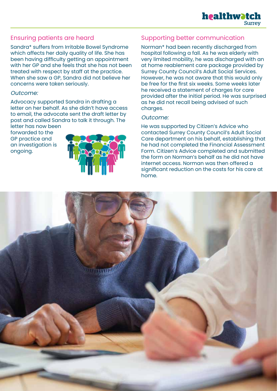#### Ensuring patients are heard

Sandra\* suffers from Irritable Bowel Syndrome which affects her daily quality of life. She has been having difficulty getting an appointment with her GP and she feels that she has not been treated with respect by staff at the practice. When she saw a GP, Sandra did not believe her concerns were taken seriously.

#### Outcome:

Advocacy supported Sandra in drafting a letter on her behalf. As she didn't have access to email, the advocate sent the draft letter by post and called Sandra to talk it through. The letter has now been

forwarded to the GP practice and an investigation is ongoing.



#### Supporting better communication

Norman\* had been recently discharged from hospital following a fall. As he was elderly with very limited mobility, he was discharged with an at home reablement care package provided by Surrey County Council's Adult Social Services. However, he was not aware that this would only be free for the first six weeks. Some weeks later he received a statement of charges for care provided after the initial period. He was surprised as he did not recall being advised of such charges.

#### Outcome:

He was supported by Citizen's Advice who contacted Surrey County Council's Adult Social Care department on his behalf, establishing that he had not completed the Financial Assessment Form. Citizen's Advice completed and submitted the form on Norman's behalf as he did not have internet access. Norman was then offered a significant reduction on the costs for his care at home.